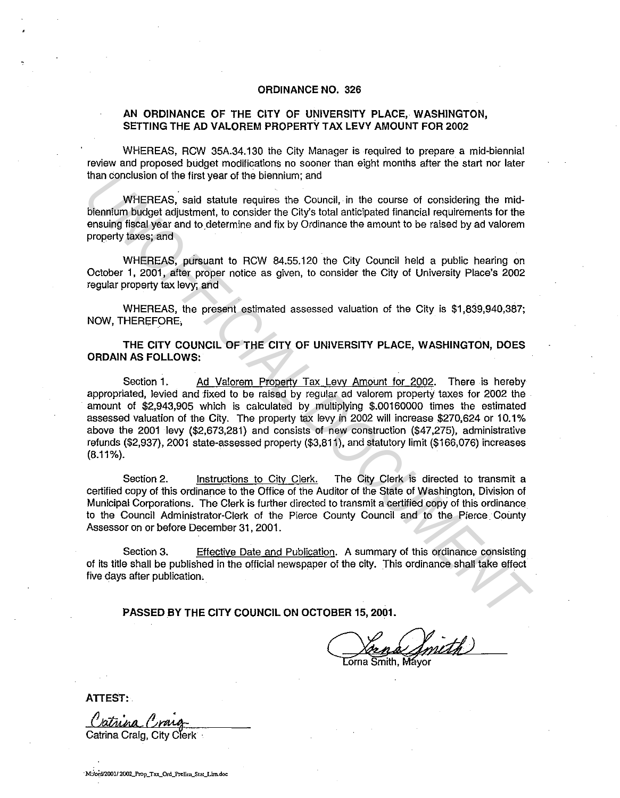## **ORDINANCE NO. 326**

## **AN ORDINANCE OF THE CITY OF UNIVERSITY PLACE, WASHINGTON, SETTING THE AD VALOREM PROPERTY TAX LEVY AMOUNT FOR 2002**

WHEREAS, RCW 35A.34.130 the City Manager is required to prepare a mid-biennial review and proposed budget modifications no sooner than eight months after the start nor later than conclusion of the first year of the biennium; and

WHEREAS, said statute requires the Council, in the course of considering the midbiennium budget adjustment, to consider the City's total anticipated financial requirements for the ensuing fiscal year and to determine and fix by Ordinance the amount to be raised by ad valorem property taxes; and

WHEREAS, pursuant to RCW 84.55.120 the City Council held a public hearing on October **1,** 2001, after proper notice as given, to consider the City of University Place's 2002 regular property tax levy; and

WHEREAS, the present estimated assessed valuation of the City is \$1,839,940,387; NOW, THEREFORE,

**THE CITY COUNCIL OF THE CITY OF UNIVERSITY PLACE, WASHINGTON, DOES ORDAIN AS FOLLOWS:** 

Section 1. **Ad Valorem Property Tax Levy Amount for 2002.** There is hereby appropriated, levied and fixed to be raised by regular ad valorem property taxes for 2002 the amount of \$2,943,905 which is calculated by multiplying \$.00160000 times the estimated assessed valuation of the City. The property tax levy in 2002 will increase \$270,624 or 10.1% above the 2001 levy (\$2,673,281} and consists of new construction (\$47,275), administrative refunds (\$2,937), 2001 state-assessed property (\$3,811 ), and statutory limit (\$166,076) increases (8.11%). than conclusion of the first year of the biennium; and<br>
When the statistic requires the Council, in the course of considering the mid-<br>
Uncurrent Sudget adjustment, to consider the City's total anticipated finencial requir

Section 2. Instructions to City Clerk. The City Clerk is directed to transmit a certified copy of this ordinance to the Office of the Auditor of the State of Washington, Division of Municipal Corporations. The Clerk is further directed to transmit a certified copy of this ordinance to the Council Administrator-Clerk of the Pierce County Council and to the Pierce. County Assessor on or before December 31, 2001.

Section 3. Effective Date and Publication. A summary of this ordinance consisting of its title shall be published in the official newspaper of the city. This ordinance shall take effect five days after publication.

**PASSED BY THE CITY COUNCIL ON OCTOBER 15, 2001.** 

DBER 15, 2001.<br> $\sqrt{\frac{\text{Area}}{\text{Lorna Smith, Mayor}}$ 

**ATTEST:** 

Catrina Craig, City Clerk

**·M:ioi-\_dn00112002Yrop\_Tax\_Ord\_l'n:lim\_Stat\_Llm.dac**